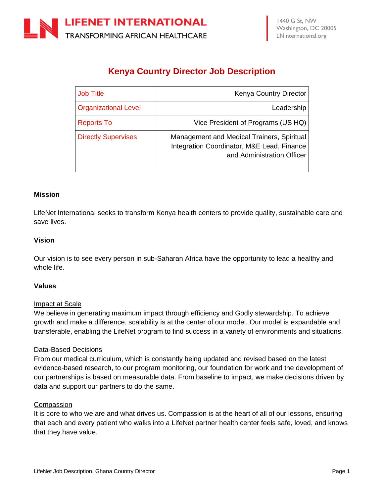# **Kenya Country Director Job Description**

| <b>Job Title</b>            | <b>Kenya Country Director</b>                                                                                          |
|-----------------------------|------------------------------------------------------------------------------------------------------------------------|
| <b>Organizational Level</b> | Leadership                                                                                                             |
| <b>Reports To</b>           | Vice President of Programs (US HQ)                                                                                     |
| <b>Directly Supervises</b>  | Management and Medical Trainers, Spiritual<br>Integration Coordinator, M&E Lead, Finance<br>and Administration Officer |

#### **Mission**

LifeNet International seeks to transform Kenya health centers to provide quality, sustainable care and save lives.

#### **Vision**

Our vision is to see every person in sub-Saharan Africa have the opportunity to lead a healthy and whole life.

#### **Values**

#### Impact at Scale

We believe in generating maximum impact through efficiency and Godly stewardship. To achieve growth and make a difference, scalability is at the center of our model. Our model is expandable and transferable, enabling the LifeNet program to find success in a variety of environments and situations.

#### Data-Based Decisions

From our medical curriculum, which is constantly being updated and revised based on the latest evidence-based research, to our program monitoring, our foundation for work and the development of our partnerships is based on measurable data. From baseline to impact, we make decisions driven by data and support our partners to do the same.

#### **Compassion**

It is core to who we are and what drives us. Compassion is at the heart of all of our lessons, ensuring that each and every patient who walks into a LifeNet partner health center feels safe, loved, and knows that they have value.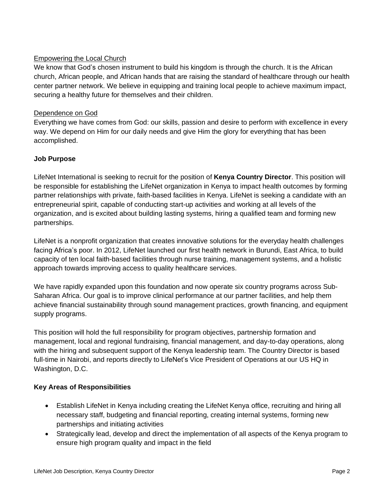# Empowering the Local Church

We know that God's chosen instrument to build his kingdom is through the church. It is the African church, African people, and African hands that are raising the standard of healthcare through our health center partner network. We believe in equipping and training local people to achieve maximum impact, securing a healthy future for themselves and their children.

# Dependence on God

Everything we have comes from God: our skills, passion and desire to perform with excellence in every way. We depend on Him for our daily needs and give Him the glory for everything that has been accomplished.

# **Job Purpose**

LifeNet International is seeking to recruit for the position of **Kenya Country Director**. This position will be responsible for establishing the LifeNet organization in Kenya to impact health outcomes by forming partner relationships with private, faith-based facilities in Kenya. LifeNet is seeking a candidate with an entrepreneurial spirit, capable of conducting start-up activities and working at all levels of the organization, and is excited about building lasting systems, hiring a qualified team and forming new partnerships.

LifeNet is a nonprofit organization that creates innovative solutions for the everyday health challenges facing Africa's poor. In 2012, LifeNet launched our first health network in Burundi, East Africa, to build capacity of ten local faith-based facilities through nurse training, management systems, and a holistic approach towards improving access to quality healthcare services.

We have rapidly expanded upon this foundation and now operate six country programs across Sub-Saharan Africa. Our goal is to improve clinical performance at our partner facilities, and help them achieve financial sustainability through sound management practices, growth financing, and equipment supply programs.

This position will hold the full responsibility for program objectives, partnership formation and management, local and regional fundraising, financial management, and day-to-day operations, along with the hiring and subsequent support of the Kenya leadership team. The Country Director is based full-time in Nairobi, and reports directly to LifeNet's Vice President of Operations at our US HQ in Washington, D.C.

# **Key Areas of Responsibilities**

- Establish LifeNet in Kenya including creating the LifeNet Kenya office, recruiting and hiring all necessary staff, budgeting and financial reporting, creating internal systems, forming new partnerships and initiating activities
- Strategically lead, develop and direct the implementation of all aspects of the Kenya program to ensure high program quality and impact in the field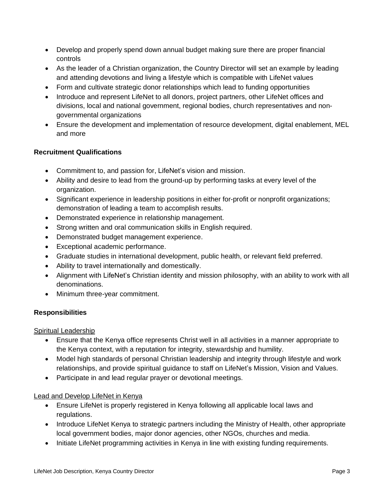- Develop and properly spend down annual budget making sure there are proper financial controls
- As the leader of a Christian organization, the Country Director will set an example by leading and attending devotions and living a lifestyle which is compatible with LifeNet values
- Form and cultivate strategic donor relationships which lead to funding opportunities
- Introduce and represent LifeNet to all donors, project partners, other LifeNet offices and divisions, local and national government, regional bodies, church representatives and nongovernmental organizations
- Ensure the development and implementation of resource development, digital enablement, MEL and more

# **Recruitment Qualifications**

- Commitment to, and passion for, LifeNet's vision and mission.
- Ability and desire to lead from the ground-up by performing tasks at every level of the organization.
- Significant experience in leadership positions in either for-profit or nonprofit organizations; demonstration of leading a team to accomplish results.
- Demonstrated experience in relationship management.
- Strong written and oral communication skills in English required.
- Demonstrated budget management experience.
- Exceptional academic performance.
- Graduate studies in international development, public health, or relevant field preferred.
- Ability to travel internationally and domestically.
- Alignment with LifeNet's Christian identity and mission philosophy, with an ability to work with all denominations.
- Minimum three-year commitment.

# **Responsibilities**

Spiritual Leadership

- Ensure that the Kenya office represents Christ well in all activities in a manner appropriate to the Kenya context, with a reputation for integrity, stewardship and humility.
- Model high standards of personal Christian leadership and integrity through lifestyle and work relationships, and provide spiritual guidance to staff on LifeNet's Mission, Vision and Values.
- Participate in and lead regular prayer or devotional meetings.

# Lead and Develop LifeNet in Kenya

- Ensure LifeNet is properly registered in Kenya following all applicable local laws and regulations.
- Introduce LifeNet Kenya to strategic partners including the Ministry of Health, other appropriate local government bodies, major donor agencies, other NGOs, churches and media.
- Initiate LifeNet programming activities in Kenya in line with existing funding requirements.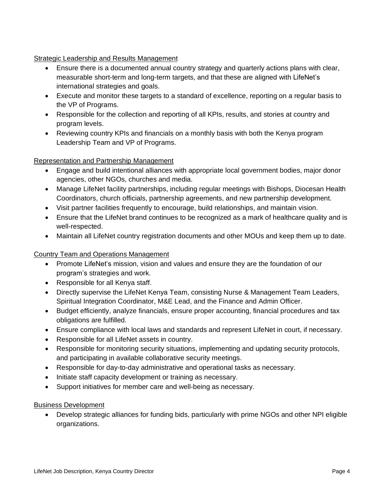**Strategic Leadership and Results Management** 

- Ensure there is a documented annual country strategy and quarterly actions plans with clear, measurable short-term and long-term targets, and that these are aligned with LifeNet's international strategies and goals.
- Execute and monitor these targets to a standard of excellence, reporting on a regular basis to the VP of Programs.
- Responsible for the collection and reporting of all KPIs, results, and stories at country and program levels.
- Reviewing country KPIs and financials on a monthly basis with both the Kenya program Leadership Team and VP of Programs.

Representation and Partnership Management

- Engage and build intentional alliances with appropriate local government bodies, major donor agencies, other NGOs, churches and media.
- Manage LifeNet facility partnerships, including regular meetings with Bishops, Diocesan Health Coordinators, church officials, partnership agreements, and new partnership development.
- Visit partner facilities frequently to encourage, build relationships, and maintain vision.
- Ensure that the LifeNet brand continues to be recognized as a mark of healthcare quality and is well-respected.
- Maintain all LifeNet country registration documents and other MOUs and keep them up to date.

# Country Team and Operations Management

- Promote LifeNet's mission, vision and values and ensure they are the foundation of our program's strategies and work.
- Responsible for all Kenya staff.
- Directly supervise the LifeNet Kenya Team, consisting Nurse & Management Team Leaders, Spiritual Integration Coordinator, M&E Lead, and the Finance and Admin Officer.
- Budget efficiently, analyze financials, ensure proper accounting, financial procedures and tax obligations are fulfilled.
- Ensure compliance with local laws and standards and represent LifeNet in court, if necessary.
- Responsible for all LifeNet assets in country.
- Responsible for monitoring security situations, implementing and updating security protocols, and participating in available collaborative security meetings.
- Responsible for day-to-day administrative and operational tasks as necessary.
- Initiate staff capacity development or training as necessary.
- Support initiatives for member care and well-being as necessary.

# Business Development

• Develop strategic alliances for funding bids, particularly with prime NGOs and other NPI eligible organizations.